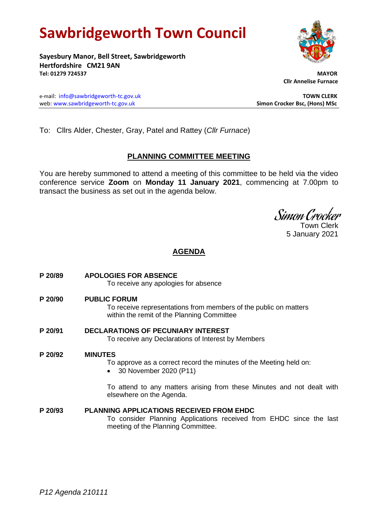# **Sawbridgeworth Town Council**

**Sayesbury Manor, Bell Street, Sawbridgeworth Hertfordshire CM21 9AN Tel: 01279 724537 MAYOR**

e-mail: [info@sawbridgeworth-tc.gov.uk](mailto:info@sawbridgeworth-tc.gov.uk) **TOWN CLERK** web: www.sawbridgeworth-tc.gov.uk **Simon Crocker Bsc, (Hons) MSc**

 **Cllr Annelise Furnace**

To: Cllrs Alder, Chester, Gray, Patel and Rattey (*Cllr Furnace*)

### **PLANNING COMMITTEE MEETING**

You are hereby summoned to attend a meeting of this committee to be held via the video conference service **Zoom** on **Monday 11 January 2021**, commencing at 7.00pm to transact the business as set out in the agenda below.

Simon Crocker

Town Clerk 5 January 2021

### **AGENDA**

| P 20/89 | <b>APOLOGIES FOR ABSENCE</b><br>To receive any apologies for absence                                                                                         |
|---------|--------------------------------------------------------------------------------------------------------------------------------------------------------------|
| P 20/90 | <b>PUBLIC FORUM</b><br>To receive representations from members of the public on matters<br>within the remit of the Planning Committee                        |
| P 20/91 | <b>DECLARATIONS OF PECUNIARY INTEREST</b><br>To receive any Declarations of Interest by Members                                                              |
| P 20/92 | <b>MINUTES</b><br>To approve as a correct record the minutes of the Meeting held on:<br>30 November 2020 (P11)                                               |
|         | To attend to any matters arising from these Minutes and not dealt with<br>elsewhere on the Agenda.                                                           |
| P 20/93 | <b>PLANNING APPLICATIONS RECEIVED FROM EHDC</b><br>To consider Planning Applications received from EHDC since the last<br>meeting of the Planning Committee. |

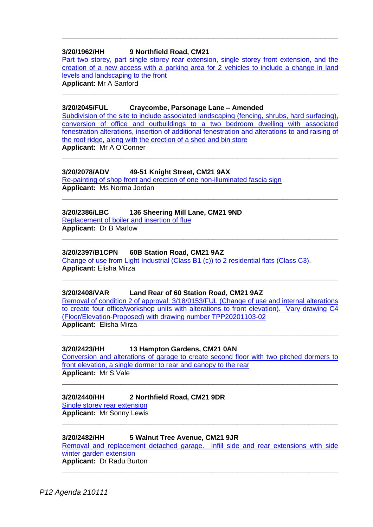### **3/20/1962/HH 9 Northfield Road, CM21**

[Part two storey, part single storey rear extension, single storey front extension, and the](https://publicaccess.eastherts.gov.uk/online-applications/applicationDetails.do?activeTab=documents&keyVal=QHXWFTGLIVK00)  [creation of a new access with a parking area for 2 vehicles to include a change in land](https://publicaccess.eastherts.gov.uk/online-applications/applicationDetails.do?activeTab=documents&keyVal=QHXWFTGLIVK00)  [levels and landscaping to the front](https://publicaccess.eastherts.gov.uk/online-applications/applicationDetails.do?activeTab=documents&keyVal=QHXWFTGLIVK00) **Applicant:** Mr A Sanford

**\_\_\_\_\_\_\_\_\_\_\_\_\_\_\_\_\_\_\_\_\_\_\_\_\_\_\_\_\_\_\_\_\_\_\_\_\_\_\_\_\_\_\_\_\_\_\_\_\_\_\_\_\_\_\_\_\_\_\_\_\_\_\_\_\_\_**

**\_\_\_\_\_\_\_\_\_\_\_\_\_\_\_\_\_\_\_\_\_\_\_\_\_\_\_\_\_\_\_\_\_\_\_\_\_\_\_\_\_\_\_\_\_\_\_\_\_\_\_\_\_\_\_\_\_\_\_\_\_\_\_\_\_\_**

### **3/20/2045/FUL Craycombe, Parsonage Lane – Amended**

[Subdivision of the site to include associated landscaping \(fencing, shrubs, hard surfacing\),](https://publicaccess.eastherts.gov.uk/online-applications/applicationDetails.do?activeTab=documents&keyVal=QIFTN4GL00X00)  [conversion of office and outbuildings to a two bedroom](https://publicaccess.eastherts.gov.uk/online-applications/applicationDetails.do?activeTab=documents&keyVal=QIFTN4GL00X00) dwelling with associated [fenestration alterations, insertion of additional fenestration and alterations to and raising of](https://publicaccess.eastherts.gov.uk/online-applications/applicationDetails.do?activeTab=documents&keyVal=QIFTN4GL00X00)  [the roof ridge, along with the erection of a shed and bin store](https://publicaccess.eastherts.gov.uk/online-applications/applicationDetails.do?activeTab=documents&keyVal=QIFTN4GL00X00) **Applicant:** Mr A O'Conner

**\_\_\_\_\_\_\_\_\_\_\_\_\_\_\_\_\_\_\_\_\_\_\_\_\_\_\_\_\_\_\_\_\_\_\_\_\_\_\_\_\_\_\_\_\_\_\_\_\_\_\_\_\_\_\_\_\_\_\_\_\_\_\_\_\_\_**

**\_\_\_\_\_\_\_\_\_\_\_\_\_\_\_\_\_\_\_\_\_\_\_\_\_\_\_\_\_\_\_\_\_\_\_\_\_\_\_\_\_\_\_\_\_\_\_\_\_\_\_\_\_\_\_\_\_\_\_\_\_\_\_\_\_\_**

**\_\_\_\_\_\_\_\_\_\_\_\_\_\_\_\_\_\_\_\_\_\_\_\_\_\_\_\_\_\_\_\_\_\_\_\_\_\_\_\_\_\_\_\_\_\_\_\_\_\_\_\_\_\_\_\_\_\_\_\_\_\_\_\_\_\_**

**\_\_\_\_\_\_\_\_\_\_\_\_\_\_\_\_\_\_\_\_\_\_\_\_\_\_\_\_\_\_\_\_\_\_\_\_\_\_\_\_\_\_\_\_\_\_\_\_\_\_\_\_\_\_\_\_\_\_\_\_\_\_\_\_\_\_**

### **3/20/2078/ADV 49-51 Knight Street, CM21 9AX**

[Re-painting of shop front and erection of one non-illuminated fascia sign](https://publicaccess.eastherts.gov.uk/online-applications/applicationDetails.do?activeTab=documents&keyVal=QILZ47GLJ3C00) **Applicant:** Ms Norma Jordan

### **3/20/2386/LBC 136 Sheering Mill Lane, CM21 9ND**

[Replacement of boiler and insertion of flue](https://publicaccess.eastherts.gov.uk/online-applications/applicationDetails.do?activeTab=documents&keyVal=QKG3OPGLJOS00) **Applicant:** Dr B Marlow

### **3/20/2397/B1CPN 60B Station Road, CM21 9AZ**

[Change of use from Light Industrial \(Class B1 \(c\)\)](https://publicaccess.eastherts.gov.uk/online-applications/applicationDetails.do?activeTab=documents&keyVal=QKLPK1GL04O00) to 2 residential flats (Class C3). **Applicant:** Elisha Mirza

### **3/20/2408/VAR Land Rear of 60 Station Road, CM21 9AZ**

[Removal of condition 2 of approval: 3/18/0153/FUL \(Change of use and internal alterations](https://publicaccess.eastherts.gov.uk/online-applications/applicationDetails.do?activeTab=documents&keyVal=QKNID3GLJQD00)  [to create four office/workshop units with alterations to front elevation\). Vary drawing C4](https://publicaccess.eastherts.gov.uk/online-applications/applicationDetails.do?activeTab=documents&keyVal=QKNID3GLJQD00)  [\(Floor/Elevation-Proposed\) with drawing number TPP20201103-02](https://publicaccess.eastherts.gov.uk/online-applications/applicationDetails.do?activeTab=documents&keyVal=QKNID3GLJQD00) **Applicant:** Elisha Mirza

**\_\_\_\_\_\_\_\_\_\_\_\_\_\_\_\_\_\_\_\_\_\_\_\_\_\_\_\_\_\_\_\_\_\_\_\_\_\_\_\_\_\_\_\_\_\_\_\_\_\_\_\_\_\_\_\_\_\_\_\_\_\_\_\_\_\_**

### **3/20/2423/HH 13 Hampton Gardens, CM21 0AN**

[Conversion and alterations of garage to create second floor with two pitched dormers to](https://publicaccess.eastherts.gov.uk/online-applications/applicationDetails.do?activeTab=documents&keyVal=QKPD0AGLJRD00)  [front elevation, a single dormer to rear and canopy to the rear](https://publicaccess.eastherts.gov.uk/online-applications/applicationDetails.do?activeTab=documents&keyVal=QKPD0AGLJRD00) **Applicant:** Mr S Vale

**\_\_\_\_\_\_\_\_\_\_\_\_\_\_\_\_\_\_\_\_\_\_\_\_\_\_\_\_\_\_\_\_\_\_\_\_\_\_\_\_\_\_\_\_\_\_\_\_\_\_\_\_\_\_\_\_\_\_\_\_\_\_\_\_\_\_**

### **3/20/2440/HH 2 Northfield Road, CM21 9DR**

[Single storey rear extension](https://publicaccess.eastherts.gov.uk/online-applications/applicationDetails.do?activeTab=documents&keyVal=QKT2D5GLJSG00) **Applicant:** Mr Sonny Lewis

### **3/20/2482/HH 5 Walnut Tree Avenue, CM21 9JR**

Removal [and replacement detached garage. Infill side and rear extensions with side](https://publicaccess.eastherts.gov.uk/online-applications/applicationDetails.do?activeTab=documents&keyVal=QL138NGLJVH00)  [winter garden extension](https://publicaccess.eastherts.gov.uk/online-applications/applicationDetails.do?activeTab=documents&keyVal=QL138NGLJVH00) **Applicant:** Dr Radu Burton

**\_\_\_\_\_\_\_\_\_\_\_\_\_\_\_\_\_\_\_\_\_\_\_\_\_\_\_\_\_\_\_\_\_\_\_\_\_\_\_\_\_\_\_\_\_\_\_\_\_\_\_\_\_\_\_\_\_\_\_\_\_\_\_\_\_\_**

**\_\_\_\_\_\_\_\_\_\_\_\_\_\_\_\_\_\_\_\_\_\_\_\_\_\_\_\_\_\_\_\_\_\_\_\_\_\_\_\_\_\_\_\_\_\_\_\_\_\_\_\_\_\_\_\_\_\_\_\_\_\_\_\_\_\_**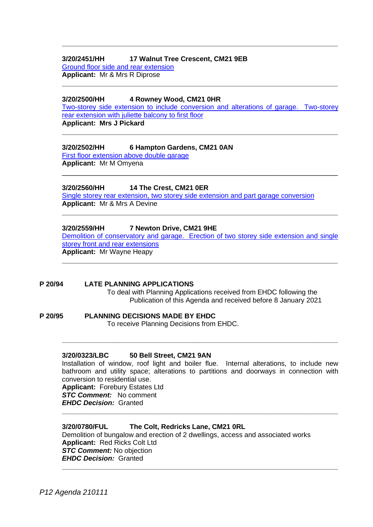### **3/20/2451/HH 17 Walnut Tree Crescent, CM21 9EB**

[Ground floor side and rear extension](https://publicaccess.eastherts.gov.uk/online-applications/applicationDetails.do?activeTab=documents&keyVal=QKUWXEGLJT600) **Applicant:** Mr & Mrs R Diprose

### **3/20/2500/HH 4 Rowney Wood, CM21 0HR**

[Two-storey side extension to include conversion and alterations of garage. Two-storey](https://publicaccess.eastherts.gov.uk/online-applications/applicationDetails.do?activeTab=documents&keyVal=QL46ASGLJWO00)  [rear extension with juliette](https://publicaccess.eastherts.gov.uk/online-applications/applicationDetails.do?activeTab=documents&keyVal=QL46ASGLJWO00) balcony to first floor

**\_\_\_\_\_\_\_\_\_\_\_\_\_\_\_\_\_\_\_\_\_\_\_\_\_\_\_\_\_\_\_\_\_\_\_\_\_\_\_\_\_\_\_\_\_\_\_\_\_\_\_\_\_\_\_\_\_\_\_\_\_\_\_\_\_\_**

\_\_\_\_\_\_\_\_\_\_\_\_\_\_\_\_\_\_\_\_\_\_\_\_\_\_\_\_\_\_\_\_\_\_\_\_\_\_\_\_\_\_\_\_\_\_\_\_\_\_\_\_\_\_\_\_\_\_\_\_\_\_\_\_\_\_

**\_\_\_\_\_\_\_\_\_\_\_\_\_\_\_\_\_\_\_\_\_\_\_\_\_\_\_\_\_\_\_\_\_\_\_\_\_\_\_\_\_\_\_\_\_\_\_\_\_\_\_\_\_\_\_\_\_\_\_\_\_\_\_\_\_\_**

**\_\_\_\_\_\_\_\_\_\_\_\_\_\_\_\_\_\_\_\_\_\_\_\_\_\_\_\_\_\_\_\_\_\_\_\_\_\_\_\_\_\_\_\_\_\_\_\_\_\_\_\_\_\_\_\_\_\_\_\_\_\_\_\_\_\_**

**Applicant: Mrs J Pickard**

### **3/20/2502/HH 6 Hampton Gardens, CM21 0AN**

[First floor extension above double garage](https://publicaccess.eastherts.gov.uk/online-applications/applicationDetails.do?activeTab=documents&keyVal=QL47X5GL00X00) **Applicant:** Mr M Omyena

### **3/20/2560/HH 14 The Crest, CM21 0ER**

Single storey rear extension, two storey [side extension and part garage conversion](https://publicaccess.eastherts.gov.uk/online-applications/applicationDetails.do?activeTab=documents&keyVal=QLH531GLK0U00) **Applicant:** Mr & Mrs A Devine

### **3/20/2559/HH 7 Newton Drive, CM21 9HE**

[Demolition of conservatory and garage. Erection of two storey side extension and single](https://publicaccess.eastherts.gov.uk/online-applications/applicationDetails.do?activeTab=documents&keyVal=QLH52MGLK0S00)  [storey front and rear extensions](https://publicaccess.eastherts.gov.uk/online-applications/applicationDetails.do?activeTab=documents&keyVal=QLH52MGLK0S00) **Applicant:** Mr Wayne Heapy

**\_\_\_\_\_\_\_\_\_\_\_\_\_\_\_\_\_\_\_\_\_\_\_\_\_\_\_\_\_\_\_\_\_\_\_\_\_\_\_\_\_\_\_\_\_\_\_\_\_\_\_\_\_\_\_\_\_\_\_\_\_\_\_\_\_\_**

### **\_\_\_\_\_\_\_\_\_\_\_\_\_\_\_\_\_\_\_\_\_\_\_\_\_\_\_\_\_\_\_\_\_\_\_\_\_\_\_\_\_\_\_\_\_\_\_\_\_\_\_\_\_\_\_\_\_\_\_\_\_\_\_\_\_\_**

### **P 20/94 LATE PLANNING APPLICATIONS**

To deal with Planning Applications received from EHDC following the Publication of this Agenda and received before 8 January 2021

## **P 20/95 PLANNING DECISIONS MADE BY EHDC**

To receive Planning Decisions from EHDC.

### **3/20/0323/LBC 50 Bell Street, CM21 9AN**

Installation of window, roof light and boiler flue. Internal alterations, to include new bathroom and utility space; alterations to partitions and doorways in connection with conversion to residential use.

**\_\_\_\_\_\_\_\_\_\_\_\_\_\_\_\_\_\_\_\_\_\_\_\_\_\_\_\_\_\_\_\_\_\_\_\_\_\_\_\_\_\_\_\_\_\_\_\_\_\_\_\_\_\_\_\_\_\_\_\_\_\_\_\_\_\_\_\_\_\_\_\_**

**\_\_\_\_\_\_\_\_\_\_\_\_\_\_\_\_\_\_\_\_\_\_\_\_\_\_\_\_\_\_\_\_\_\_\_\_\_\_\_\_\_\_\_\_\_\_\_\_\_\_\_\_\_\_\_\_\_\_\_\_\_\_\_\_\_\_\_\_\_\_\_\_**

**\_\_\_\_\_\_\_\_\_\_\_\_\_\_\_\_\_\_\_\_\_\_\_\_\_\_\_\_\_\_\_\_\_\_\_\_\_\_\_\_\_\_\_\_\_\_\_\_\_\_\_\_\_\_\_\_\_\_\_\_\_\_\_\_\_\_\_\_\_\_\_\_**

**Applicant:** Forebury Estates Ltd *STC Comment:* No comment *EHDC Decision:* Granted

### **3/20/0780/FUL The Colt, Redricks Lane, CM21 0RL**

Demolition of bungalow and erection of 2 dwellings, access and associated works **Applicant:** Red Ricks Colt Ltd *STC Comment:* No objection *EHDC Decision:* Granted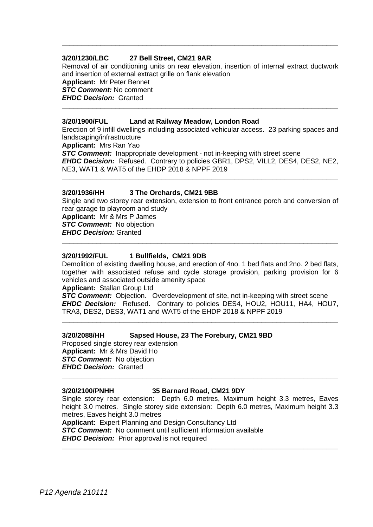### **3/20/1230/LBC 27 Bell Street, CM21 9AR**

Removal of air conditioning units on rear elevation, insertion of internal extract ductwork and insertion of external extract grille on flank elevation **Applicant:** Mr Peter Bennet *STC Comment:* No comment *EHDC Decision:* Granted **\_\_\_\_\_\_\_\_\_\_\_\_\_\_\_\_\_\_\_\_\_\_\_\_\_\_\_\_\_\_\_\_\_\_\_\_\_\_\_\_\_\_\_\_\_\_\_\_\_\_\_\_\_\_\_\_\_\_\_\_\_\_\_\_\_\_\_\_\_\_\_\_**

**\_\_\_\_\_\_\_\_\_\_\_\_\_\_\_\_\_\_\_\_\_\_\_\_\_\_\_\_\_\_\_\_\_\_\_\_\_\_\_\_\_\_\_\_\_\_\_\_\_\_\_\_\_\_\_\_\_\_\_\_\_\_\_\_\_\_\_\_\_\_\_\_**

### **3/20/1900/FUL Land at Railway Meadow, London Road**

Erection of 9 infill dwellings including associated vehicular access. 23 parking spaces and landscaping/infrastructure **Applicant:** Mrs Ran Yao **STC Comment:** Inappropriate development - not in-keeping with street scene *EHDC Decision:* Refused. Contrary to policies GBR1, DPS2, VILL2, DES4, DES2, NE2,

**\_\_\_\_\_\_\_\_\_\_\_\_\_\_\_\_\_\_\_\_\_\_\_\_\_\_\_\_\_\_\_\_\_\_\_\_\_\_\_\_\_\_\_\_\_\_\_\_\_\_\_\_\_\_\_\_\_\_\_\_\_\_\_\_\_\_\_\_\_\_\_\_**

NE3, WAT1 & WAT5 of the EHDP 2018 & NPPF 2019

### **3/20/1936/HH 3 The Orchards, CM21 9BB**

Single and two storey rear extension, extension to front entrance porch and conversion of rear garage to playroom and study **Applicant:** Mr & Mrs P James **STC Comment:** No objection

**\_\_\_\_\_\_\_\_\_\_\_\_\_\_\_\_\_\_\_\_\_\_\_\_\_\_\_\_\_\_\_\_\_\_\_\_\_\_\_\_\_\_\_\_\_\_\_\_\_\_\_\_\_\_\_\_\_\_\_\_\_\_\_\_\_\_\_\_\_\_\_\_**

*EHDC Decision:* Granted

### **3/20/1992/FUL 1 Bullfields, CM21 9DB**

Demolition of existing dwelling house, and erection of 4no. 1 bed flats and 2no. 2 bed flats, together with associated refuse and cycle storage provision, parking provision for 6 vehicles and associated outside amenity space

**Applicant:** Stallan Group Ltd

*STC Comment:* Objection. Overdevelopment of site, not in-keeping with street scene *EHDC Decision:* Refused. Contrary to policies DES4, HOU2, HOU11, HA4, HOU7, TRA3, DES2, DES3, WAT1 and WAT5 of the EHDP 2018 & NPPF 2019

**\_\_\_\_\_\_\_\_\_\_\_\_\_\_\_\_\_\_\_\_\_\_\_\_\_\_\_\_\_\_\_\_\_\_\_\_\_\_\_\_\_\_\_\_\_\_\_\_\_\_\_\_\_\_\_\_\_\_\_\_\_\_\_\_\_\_\_\_\_\_\_\_**

### **3/20/2088/HH Sapsed House, 23 The Forebury, CM21 9BD**

Proposed single storey rear extension **Applicant:** Mr & Mrs David Ho **STC Comment:** No objection *EHDC Decision:* Granted

#### **3/20/2100/PNHH 35 Barnard Road, CM21 9DY**

**\_\_\_\_\_\_\_\_\_\_\_\_\_\_\_\_\_\_\_\_\_\_\_\_\_\_\_\_\_\_\_\_\_\_\_\_\_\_\_\_\_\_\_\_\_\_\_\_\_\_\_\_\_\_\_\_\_\_\_\_\_\_\_\_\_\_\_\_\_\_\_\_**

Single storey rear extension: Depth 6.0 metres, Maximum height 3.3 metres, Eaves height 3.0 metres. Single storey side extension: Depth 6.0 metres, Maximum height 3.3 metres, Eaves height 3.0 metres

**\_\_\_\_\_\_\_\_\_\_\_\_\_\_\_\_\_\_\_\_\_\_\_\_\_\_\_\_\_\_\_\_\_\_\_\_\_\_\_\_\_\_\_\_\_\_\_\_\_\_\_\_\_\_\_\_\_\_\_\_\_\_\_\_\_\_\_\_\_\_\_\_**

**Applicant:** Expert Planning and Design Consultancy Ltd **STC Comment:** No comment until sufficient information available *EHDC Decision:* Prior approval is not required